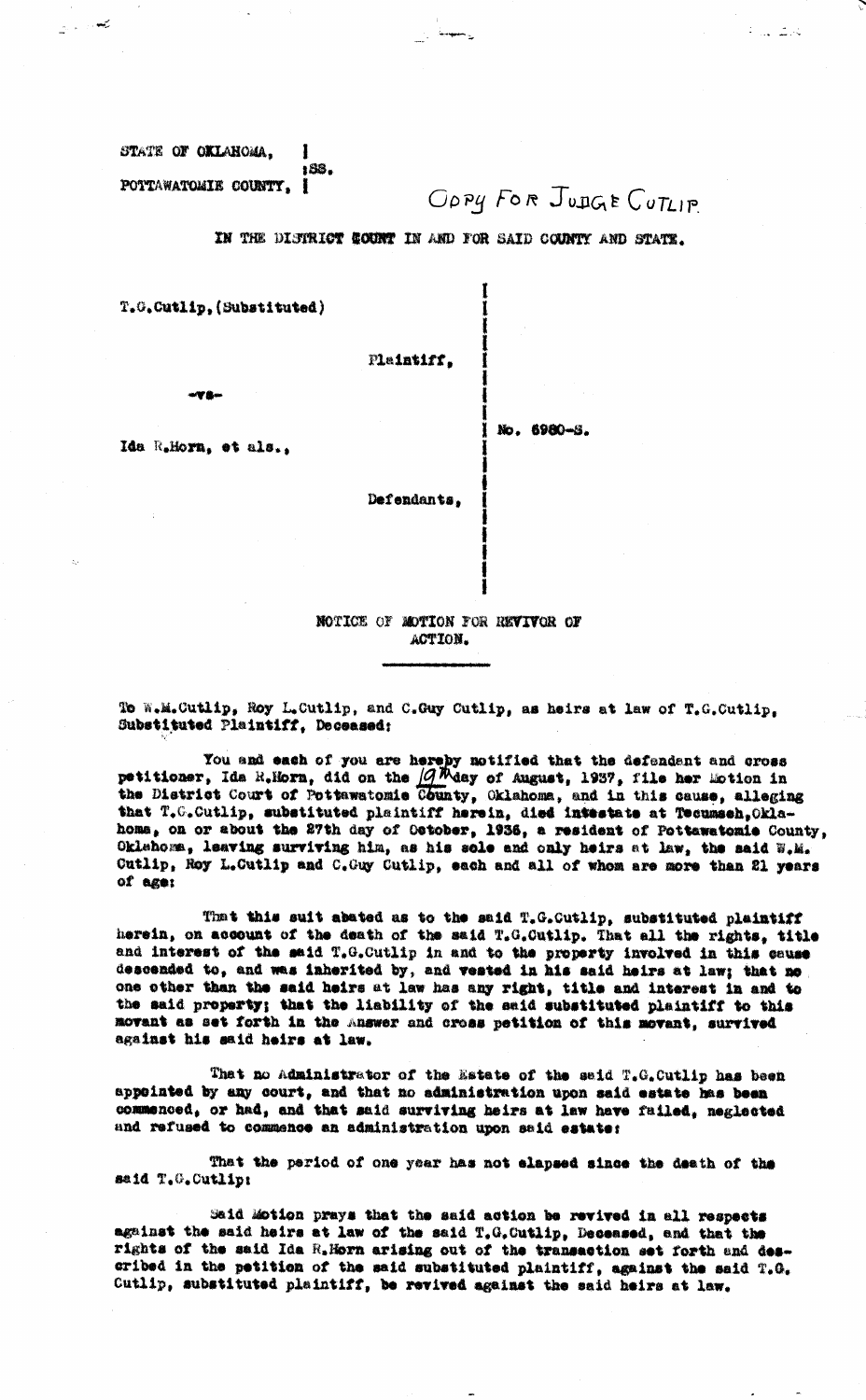STATE OF OKLAHOMA. 1 188. POTTAWATOMIE COUNTY. I

محمد الرابع

OPPY FOR JUDGE CUTLIP

نخلقا للبارع

IN THE DISTRICT COUNT IN AND FOR SAID COUNTY AND STATE.

T.G.Cutlip, (Substituted)

Plaintiff.

**WW Ran** 

 $1$  No. 6980-8.

Ida R.Horn, et als.,

Defendants,

NOTICE OF MOTION FOR REVIVOR OF ACTION.

To W.M.Cutlip, Roy L.Cutlip, and C.Guy Cutlip, as heirs at law of T.G.Cutlip. Substituted Plaintiff, Deceased:

You and each of you are hereby notified that the defendant and cross<br>petitioner, Ida R.Horn, did on the  $\sqrt{g}M$ day of August, 1937, file her Eotion in<br>the District Court of Pottswatomic County, Oklahoma, and in this caus that T.C.Cutlip, substituted plaintiff herein, died intestate at Tecumsch, Oklahoma, on or about the 27th day of Ostober, 1936, a resident of Pottawatomie County, Oklahoma, leaving surviving him, as his sole and only heirs at law, the said W.M. Cutlip, Roy L.Cutlip and C.Guy Cutlip, each and all of whom are more than 21 years of age:

That this suit abated as to the said T.G.Cutlip, substituted plaintiff herein, on account of the death of the said T.G.Cutlip. That all the rights, title and interest of the said T.G.Cutlip in and to the property involved in this cause descended to, and was inherited by, and vested in his said heirs at law; that no one other than the said heirs at law has any right, title and interest in and to the said property; that the liability of the said substituted plaintiff to this movant as set forth in the Answer and cross petition of this movant, survived against his said heirs at law.

That no Administrator of the Estate of the said T.G. Cutlip has been appointed by any court, and that no administration upon said estate has been commenced, or had, and that said surviving heirs at law have failed, neglected and refused to commence an administration upon said estate:

That the period of one year has not elapsed since the death of the said T.G.Cutlip:

Said Motion prays that the said action be revived in all respects against the said heirs at law of the said T.G.Cutlip, Deceased, and that the rights of the said Ida R. Horn arising out of the transaction set forth and described in the petition of the said substituted plaintiff, against the said T.G. Cutlip, substituted plaintiff, be revived against the said heirs at law.